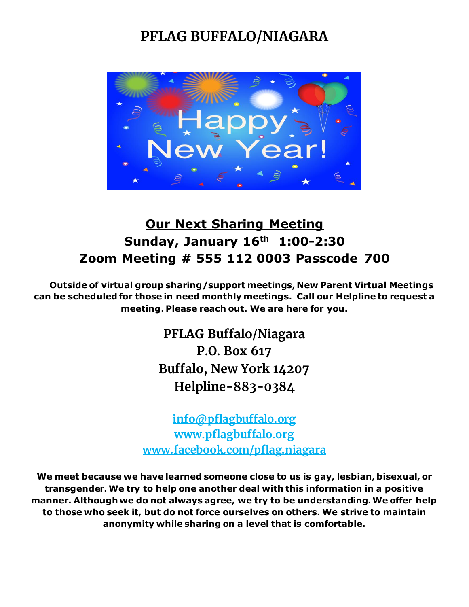# **PFLAG BUFFALO/NIAGARA**



## **Our Next Sharing Meeting Sunday, January 16th 1:00-2:30 Zoom Meeting # 555 112 0003 Passcode 700**

 **Outside of virtual group sharing/support meetings, New Parent Virtual Meetings can be scheduled for those in need monthly meetings. Call our Helpline to request a meeting. Please reach out. We are here for you.**

> **PFLAG Buffalo/Niagara P.O. Box 617 Buffalo, New York 14207 Helpline-883-0384**

**[info@pflagbuffalo.org](mailto:info@pflagbuffalo.org) [www.pflagbuffalo.org](http://www.pflagbuffalo.org/) www.facebook.com/pflag.niagara**

**We meet because we have learned someone close to us is gay, lesbian, bisexual, or transgender. We try to help one another deal with this information in a positive manner. Although we do not always agree, we try to be understanding. We offer help to those who seek it, but do not force ourselves on others. We strive to maintain anonymity while sharing on a level that is comfortable.**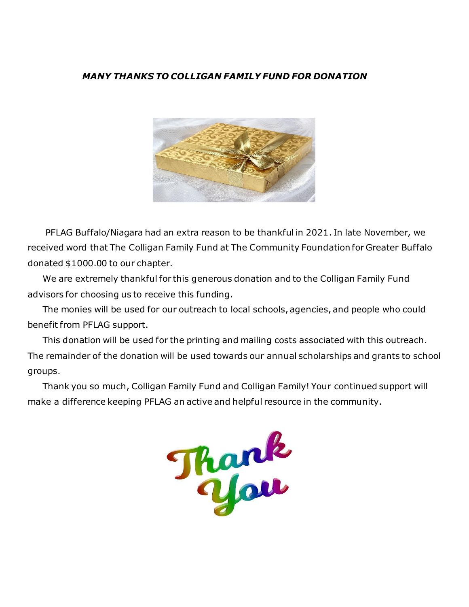#### *MANY THANKS TO COLLIGAN FAMILY FUND FOR DONATION*



 PFLAG Buffalo/Niagara had an extra reason to be thankful in 2021. In late November, we received word that The Colligan Family Fund at The Community Foundation for Greater Buffalo donated \$1000.00 to our chapter.

 We are extremely thankful for this generous donation and to the Colligan Family Fund advisors for choosing us to receive this funding.

 The monies will be used for our outreach to local schools, agencies, and people who could benefit from PFLAG support.

 This donation will be used for the printing and mailing costs associated with this outreach. The remainder of the donation will be used towards our annual scholarships and grants to school groups.

 Thank you so much, Colligan Family Fund and Colligan Family! Your continued support will make a difference keeping PFLAG an active and helpful resource in the community.

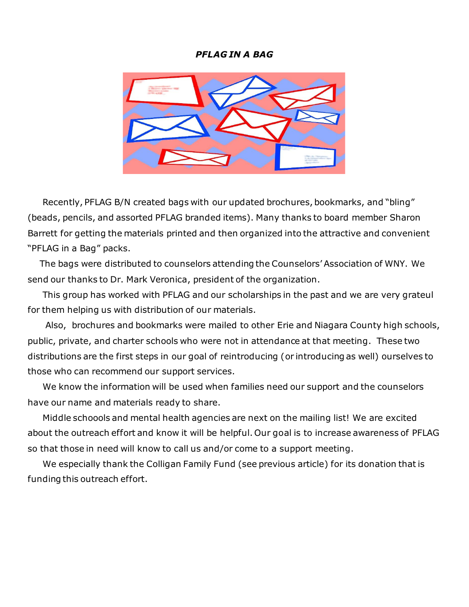#### *PFLAG IN A BAG*



 Recently, PFLAG B/N created bags with our updated brochures, bookmarks, and "bling" (beads, pencils, and assorted PFLAG branded items). Many thanks to board member Sharon Barrett for getting the materials printed and then organized into the attractive and convenient "PFLAG in a Bag" packs.

 The bags were distributed to counselors attending the Counselors' Association of WNY. We send our thanks to Dr. Mark Veronica, president of the organization.

 This group has worked with PFLAG and our scholarships in the past and we are very grateul for them helping us with distribution of our materials.

 Also, brochures and bookmarks were mailed to other Erie and Niagara County high schools, public, private, and charter schools who were not in attendance at that meeting. These two distributions are the first steps in our goal of reintroducing (or introducing as well) ourselves to those who can recommend our support services.

 We know the information will be used when families need our support and the counselors have our name and materials ready to share.

 Middle schoools and mental health agencies are next on the mailing list! We are excited about the outreach effort and know it will be helpful. Our goal is to increase awareness of PFLAG so that those in need will know to call us and/or come to a support meeting.

 We especially thank the Colligan Family Fund (see previous article) for its donation that is funding this outreach effort.